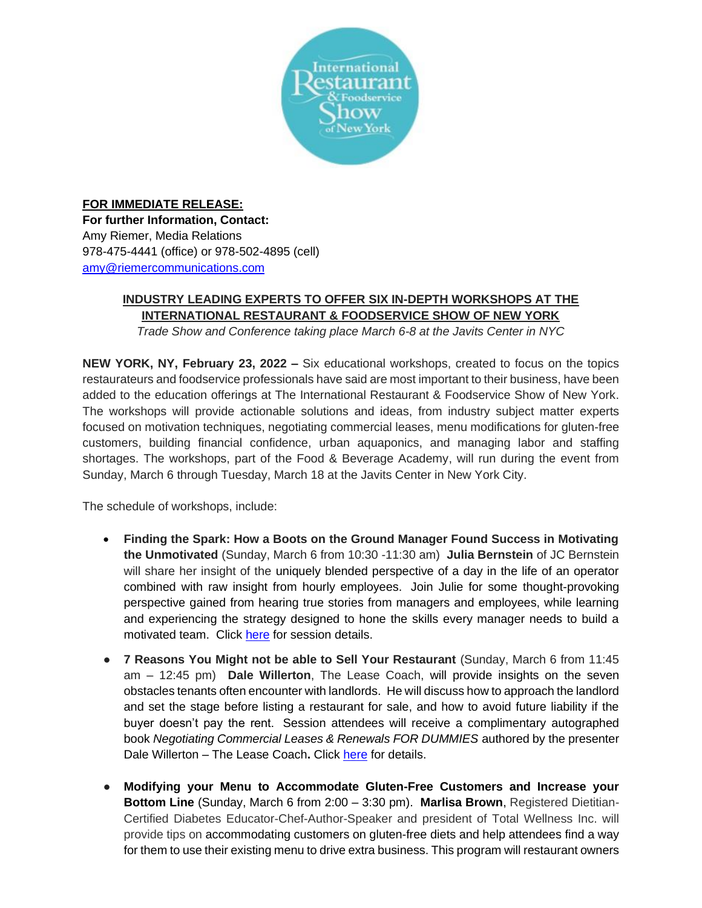

## **FOR IMMEDIATE RELEASE: For further Information, Contact:** Amy Riemer, Media Relations 978-475-4441 (office) or 978-502-4895 (cell) [amy@riemercommunications.com](mailto:amy@riemercommunications.com)

## **INDUSTRY LEADING EXPERTS TO OFFER SIX IN-DEPTH WORKSHOPS AT THE INTERNATIONAL RESTAURANT & FOODSERVICE SHOW OF NEW YORK**

*Trade Show and Conference taking place March 6-8 at the Javits Center in NYC*

**NEW YORK, NY, February 23, 2022 –** Six educational workshops, created to focus on the topics restaurateurs and foodservice professionals have said are most important to their business, have been added to the education offerings at The International Restaurant & Foodservice Show of New York. The workshops will provide actionable solutions and ideas, from industry subject matter experts focused on motivation techniques, negotiating commercial leases, menu modifications for gluten-free customers, building financial confidence, urban aquaponics, and managing labor and staffing shortages. The workshops, part of the Food & Beverage Academy, will run during the event from Sunday, March 6 through Tuesday, March 18 at the Javits Center in New York City.

The schedule of workshops, include:

- **Finding the Spark: How a Boots on the Ground Manager Found Success in Motivating the Unmotivated** (Sunday, March 6 from 10:30 -11:30 am) **Julia Bernstein** of JC Bernstein will share her insight of the uniquely blended perspective of a day in the life of an operator combined with raw insight from hourly employees. Join Julie for some thought-provoking perspective gained from hearing true stories from managers and employees, while learning and experiencing the strategy designed to hone the skills every manager needs to build a motivated team. Click [here](https://events.clarionevents.com/IRFSNY2022/Public/SessionDetails.aspx?FromPage=Sessions.aspx&SessionID=29494&SessionDateID=794) for session details.
- **7 Reasons You Might not be able to Sell Your Restaurant** (Sunday, March 6 from 11:45 am – 12:45 pm) **Dale Willerton**, The Lease Coach, will provide insights on the seven obstacles tenants often encounter with landlords. He will discuss how to approach the landlord and set the stage before listing a restaurant for sale, and how to avoid future liability if the buyer doesn't pay the rent. Session attendees will receive a complimentary autographed book *Negotiating Commercial Leases & Renewals FOR DUMMIES* authored by the presenter Dale Willerton – The Lease Coach**.** Click [here](https://events.clarionevents.com/IRFSNY2022/Public/SessionDetails.aspx?FromPage=Sessions.aspx&SessionID=29501&SessionDateID=794) for details.
- **Modifying your Menu to Accommodate Gluten-Free Customers and Increase your Bottom Line** (Sunday, March 6 from 2:00 – 3:30 pm). **Marlisa Brown**, Registered Dietitian-Certified Diabetes Educator-Chef-Author-Speaker and president of Total Wellness Inc. will provide tips on accommodating customers on gluten-free diets and help attendees find a way for them to use their existing menu to drive extra business. This program will restaurant owners